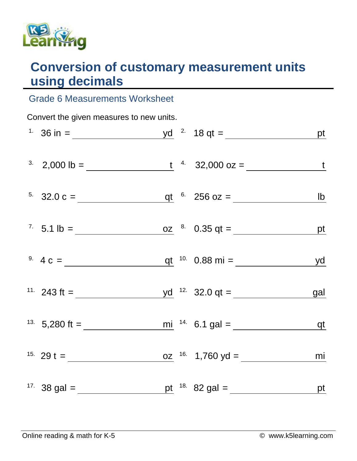

## **Conversion of customary measurement units using decimals**

## Grade 6 Measurements Worksheet

| Convert the given measures to new units. |                                                                      |  |  |                                                                         |    |  |  |  |  |
|------------------------------------------|----------------------------------------------------------------------|--|--|-------------------------------------------------------------------------|----|--|--|--|--|
|                                          |                                                                      |  |  |                                                                         |    |  |  |  |  |
|                                          |                                                                      |  |  | <sup>3</sup> 2,000 lb = $\frac{t}{1}$ <sup>4</sup> 32,000 oz = <u>t</u> |    |  |  |  |  |
|                                          |                                                                      |  |  | <sup>5.</sup> 32.0 c = $q t$ <sup>6.</sup> 256 oz = <u>b</u>            |    |  |  |  |  |
|                                          |                                                                      |  |  | <sup>7</sup> 5.1 lb = $\frac{oz}{2}$ <sup>8.</sup> 0.35 qt = <u>pt</u>  |    |  |  |  |  |
|                                          |                                                                      |  |  | <sup>9.</sup> $4 c =$ <u>qt</u> <sup>10.</sup> 0.88 mi = <u>yd</u>      |    |  |  |  |  |
|                                          |                                                                      |  |  |                                                                         |    |  |  |  |  |
|                                          |                                                                      |  |  |                                                                         |    |  |  |  |  |
|                                          | <sup>15.</sup> 29 t = $\frac{16}{29}$ t = $\frac{16}{29}$ 1,760 yd = |  |  |                                                                         | mi |  |  |  |  |
|                                          |                                                                      |  |  |                                                                         |    |  |  |  |  |